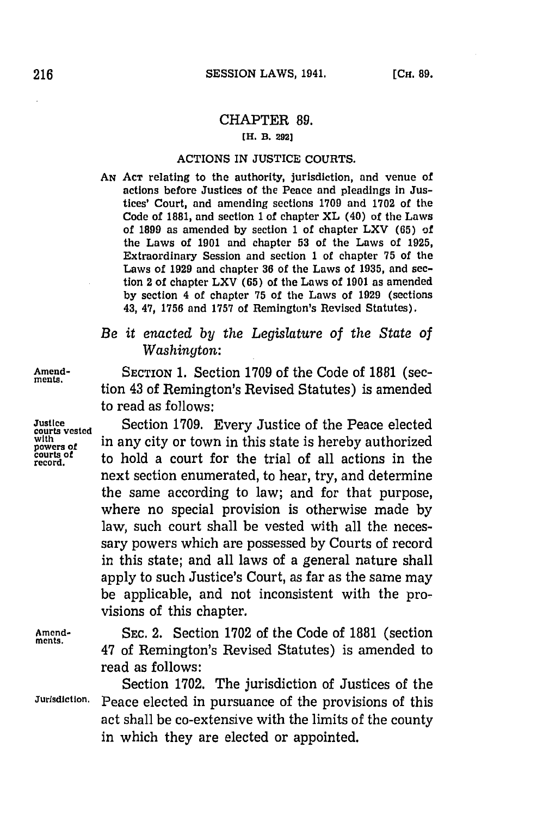## CHAPTER **89.**

## **[H. B. 292]**

## ACTIONS IN **JUSTICE COURTS.**

**AN ACT** relating to the authority, jurisdiction, and venue of actions before Justices of the Peace and pleadings in Justices' Court, and amending sections **1709** and **1702** of the Code of **1881,** and section 1 of chapter XL (40) of the Laws of **1899** as amended **by** section **1** of chapter LXV **(65)** of the Laws of **1901** and chapter **53** of the Laws of **1925,** Extraordinary Session and section **1** of chapter **75** of the Laws of **1929** and chapter **36** of the Laws of **1935,** and section 2 of chapter LXV (65) of the Laws of **1901** as amended **by** section 4 of chapter **75** of the Laws of **1929** (sections 43, 47, **1756** and **1757** of Remington's Revised Statutes).

## *Be it enacted by the Legislature of the State of Washington:*

**Amend-** SECTION **1.** Section **1709** of the Code of **1881** (sec- **meats.** tion 43 of Remington's Revised Statutes) is amended to read as follows:

Justice **Section 1709.** Every Justice of the Peace elected courts vested with the correct in any city or town in this state is hereby authorized powers of the held a court for the trial of all actions in the courts of to hold a court for the trial of all actions in the next section enumerated, to hear, try, and determine the same according to law; and for that purpose, where no special provision is otherwise made **by** law, such court shall be vested with all the necessary powers which are possessed **by** Courts of record in this state; and all laws of a general nature shall apply to such Justice's Court, as far as the same may be applicable, and not inconsistent with the provisions of this chapter.

**Amend- SEC.** 2. Section **1702** of the Code of **1881** (section **ments.** 47 of Remington's Revised Statutes) is amended to read as follows:

Section **1702.** The jurisdiction of Justices of the **Jurisdiction.** Peace elected in pursuance of the provisions of this act shall be co-extensive with the limits of the county in which they are elected or appointed.